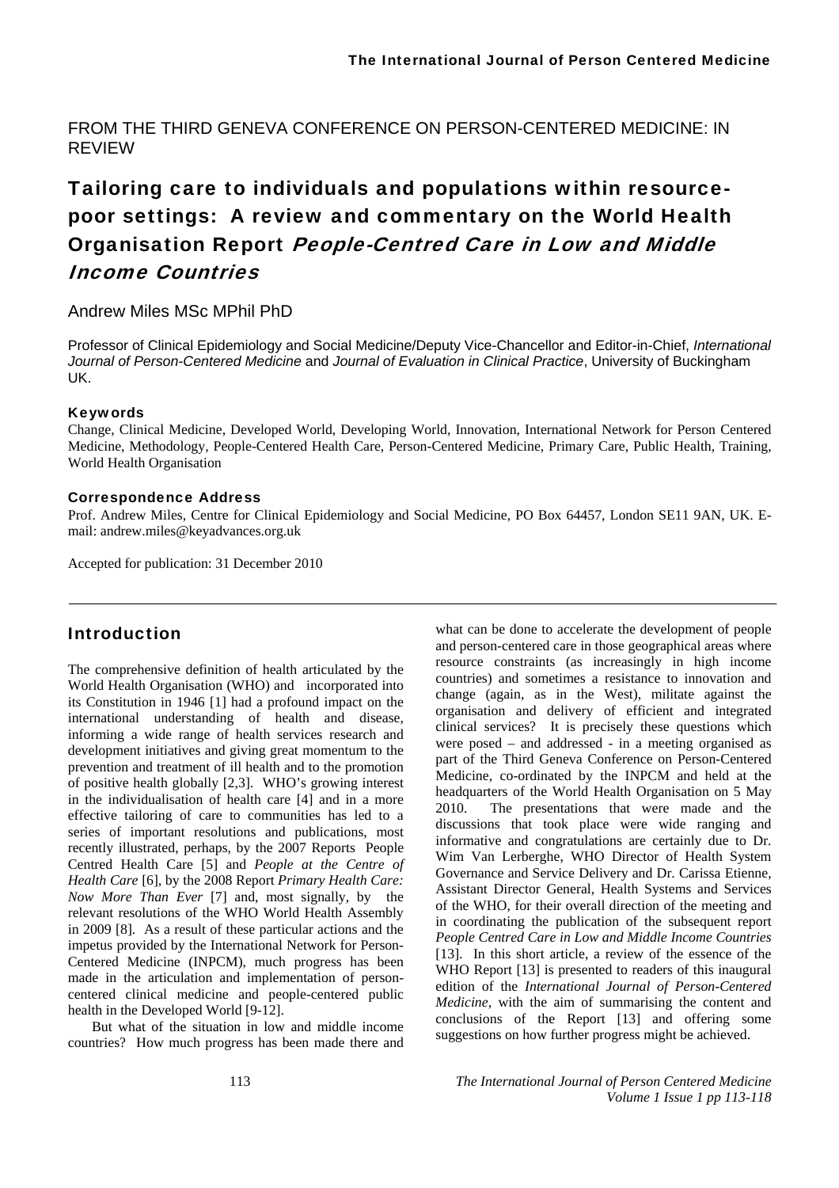FROM THE THIRD GENEVA CONFERENCE ON PERSON-CENTERED MEDICINE: IN REVIEW

# Tailoring care to individuals and populations within resourcepoor settings: A review and commentary on the World Health Organisation Report People-Centred Care in Low and Middle Income Countries

### Andrew Miles MSc MPhil PhD

Professor of Clinical Epidemiology and Social Medicine/Deputy Vice-Chancellor and Editor-in-Chief, *International Journal of Person-Centered Medicine* and *Journal of Evaluation in Clinical Practice*, University of Buckingham UK.

#### Keywords

Change, Clinical Medicine, Developed World, Developing World, Innovation, International Network for Person Centered Medicine, Methodology, People-Centered Health Care, Person-Centered Medicine, Primary Care, Public Health, Training, World Health Organisation

#### Correspondence Address

Prof. Andrew Miles, Centre for Clinical Epidemiology and Social Medicine, PO Box 64457, London SE11 9AN, UK. Email: andrew.miles@keyadvances.org.uk

Accepted for publication: 31 December 2010

## Introduction

The comprehensive definition of health articulated by the World Health Organisation (WHO) and incorporated into its Constitution in 1946 [1] had a profound impact on the international understanding of health and disease, informing a wide range of health services research and development initiatives and giving great momentum to the prevention and treatment of ill health and to the promotion of positive health globally [2,3]. WHO's growing interest in the individualisation of health care [4] and in a more effective tailoring of care to communities has led to a series of important resolutions and publications, most recently illustrated, perhaps, by the 2007 Reports People Centred Health Care [5] and *People at the Centre of Health Care* [6], by the 2008 Report *Primary Health Care: Now More Than Ever* [7] and, most signally, by the relevant resolutions of the WHO World Health Assembly in 2009 [8]. As a result of these particular actions and the impetus provided by the International Network for Person-Centered Medicine (INPCM), much progress has been made in the articulation and implementation of personcentered clinical medicine and people-centered public health in the Developed World [9-12].

But what of the situation in low and middle income countries? How much progress has been made there and

what can be done to accelerate the development of people and person-centered care in those geographical areas where resource constraints (as increasingly in high income countries) and sometimes a resistance to innovation and change (again, as in the West), militate against the organisation and delivery of efficient and integrated clinical services? It is precisely these questions which were posed – and addressed - in a meeting organised as part of the Third Geneva Conference on Person-Centered Medicine, co-ordinated by the INPCM and held at the headquarters of the World Health Organisation on 5 May 2010. The presentations that were made and the discussions that took place were wide ranging and informative and congratulations are certainly due to Dr. Wim Van Lerberghe, WHO Director of Health System Governance and Service Delivery and Dr. Carissa Etienne, Assistant Director General, Health Systems and Services of the WHO, for their overall direction of the meeting and in coordinating the publication of the subsequent report *People Centred Care in Low and Middle Income Countries*  [13]. In this short article, a review of the essence of the WHO Report [13] is presented to readers of this inaugural edition of the *International Journal of Person-Centered Medicine*, with the aim of summarising the content and conclusions of the Report [13] and offering some suggestions on how further progress might be achieved.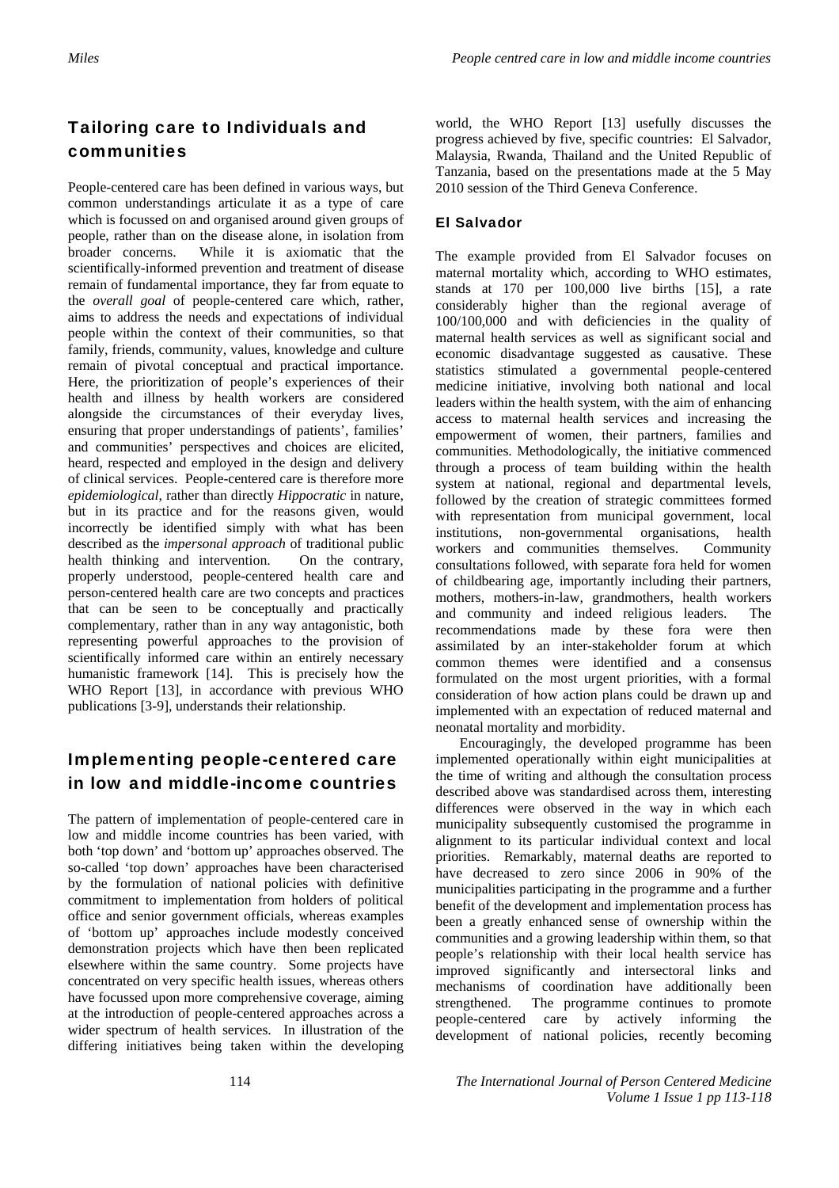# Tailoring care to Individuals and communities

People-centered care has been defined in various ways, but common understandings articulate it as a type of care which is focussed on and organised around given groups of people, rather than on the disease alone, in isolation from broader concerns. While it is axiomatic that the scientifically-informed prevention and treatment of disease remain of fundamental importance, they far from equate to the *overall goal* of people-centered care which, rather, aims to address the needs and expectations of individual people within the context of their communities, so that family, friends, community, values, knowledge and culture remain of pivotal conceptual and practical importance. Here, the prioritization of people's experiences of their health and illness by health workers are considered alongside the circumstances of their everyday lives, ensuring that proper understandings of patients', families' and communities' perspectives and choices are elicited, heard, respected and employed in the design and delivery of clinical services. People-centered care is therefore more *epidemiological*, rather than directly *Hippocratic* in nature, but in its practice and for the reasons given, would incorrectly be identified simply with what has been described as the *impersonal approach* of traditional public health thinking and intervention. On the contrary, properly understood, people-centered health care and person-centered health care are two concepts and practices that can be seen to be conceptually and practically complementary, rather than in any way antagonistic, both representing powerful approaches to the provision of scientifically informed care within an entirely necessary humanistic framework [14]. This is precisely how the WHO Report [13], in accordance with previous WHO publications [3-9], understands their relationship.

# Implementing people-centered care in low and middle-income countries

The pattern of implementation of people-centered care in low and middle income countries has been varied, with both 'top down' and 'bottom up' approaches observed. The so-called 'top down' approaches have been characterised by the formulation of national policies with definitive commitment to implementation from holders of political office and senior government officials, whereas examples of 'bottom up' approaches include modestly conceived demonstration projects which have then been replicated elsewhere within the same country. Some projects have concentrated on very specific health issues, whereas others have focussed upon more comprehensive coverage, aiming at the introduction of people-centered approaches across a wider spectrum of health services. In illustration of the differing initiatives being taken within the developing

world, the WHO Report [13] usefully discusses the progress achieved by five, specific countries: El Salvador, Malaysia, Rwanda, Thailand and the United Republic of Tanzania, based on the presentations made at the 5 May 2010 session of the Third Geneva Conference.

## El Salvador

The example provided from El Salvador focuses on maternal mortality which, according to WHO estimates, stands at 170 per 100,000 live births [15], a rate considerably higher than the regional average of 100/100,000 and with deficiencies in the quality of maternal health services as well as significant social and economic disadvantage suggested as causative. These statistics stimulated a governmental people-centered medicine initiative, involving both national and local leaders within the health system, with the aim of enhancing access to maternal health services and increasing the empowerment of women, their partners, families and communities. Methodologically, the initiative commenced through a process of team building within the health system at national, regional and departmental levels, followed by the creation of strategic committees formed with representation from municipal government, local institutions, non-governmental organisations, health workers and communities themselves. Community consultations followed, with separate fora held for women of childbearing age, importantly including their partners, mothers, mothers-in-law, grandmothers, health workers and community and indeed religious leaders. The recommendations made by these fora were then assimilated by an inter-stakeholder forum at which common themes were identified and a consensus formulated on the most urgent priorities, with a formal consideration of how action plans could be drawn up and implemented with an expectation of reduced maternal and neonatal mortality and morbidity.

Encouragingly, the developed programme has been implemented operationally within eight municipalities at the time of writing and although the consultation process described above was standardised across them, interesting differences were observed in the way in which each municipality subsequently customised the programme in alignment to its particular individual context and local priorities. Remarkably, maternal deaths are reported to have decreased to zero since 2006 in 90% of the municipalities participating in the programme and a further benefit of the development and implementation process has been a greatly enhanced sense of ownership within the communities and a growing leadership within them, so that people's relationship with their local health service has improved significantly and intersectoral links and mechanisms of coordination have additionally been strengthened. The programme continues to promote people-centered care by actively informing the development of national policies, recently becoming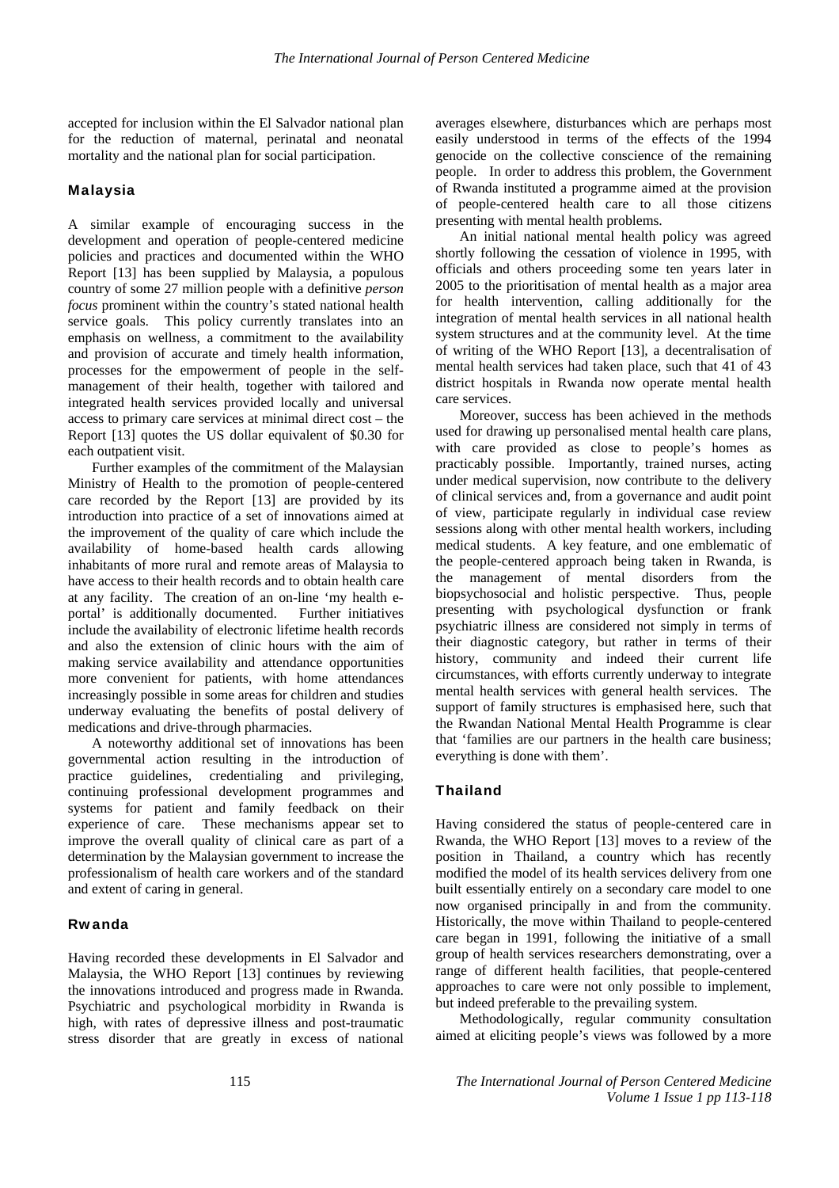accepted for inclusion within the El Salvador national plan for the reduction of maternal, perinatal and neonatal mortality and the national plan for social participation.

#### Malaysia

A similar example of encouraging success in the development and operation of people-centered medicine policies and practices and documented within the WHO Report [13] has been supplied by Malaysia, a populous country of some 27 million people with a definitive *person focus* prominent within the country's stated national health service goals. This policy currently translates into an emphasis on wellness, a commitment to the availability and provision of accurate and timely health information, processes for the empowerment of people in the selfmanagement of their health, together with tailored and integrated health services provided locally and universal access to primary care services at minimal direct cost – the Report [13] quotes the US dollar equivalent of \$0.30 for each outpatient visit.

Further examples of the commitment of the Malaysian Ministry of Health to the promotion of people-centered care recorded by the Report [13] are provided by its introduction into practice of a set of innovations aimed at the improvement of the quality of care which include the availability of home-based health cards allowing inhabitants of more rural and remote areas of Malaysia to have access to their health records and to obtain health care at any facility. The creation of an on-line 'my health eportal' is additionally documented. Further initiatives include the availability of electronic lifetime health records and also the extension of clinic hours with the aim of making service availability and attendance opportunities more convenient for patients, with home attendances increasingly possible in some areas for children and studies underway evaluating the benefits of postal delivery of medications and drive-through pharmacies.

A noteworthy additional set of innovations has been governmental action resulting in the introduction of practice guidelines, credentialing and privileging, continuing professional development programmes and systems for patient and family feedback on their experience of care. These mechanisms appear set to improve the overall quality of clinical care as part of a determination by the Malaysian government to increase the professionalism of health care workers and of the standard and extent of caring in general.

#### Rwanda

Having recorded these developments in El Salvador and Malaysia, the WHO Report [13] continues by reviewing the innovations introduced and progress made in Rwanda. Psychiatric and psychological morbidity in Rwanda is high, with rates of depressive illness and post-traumatic stress disorder that are greatly in excess of national averages elsewhere, disturbances which are perhaps most easily understood in terms of the effects of the 1994 genocide on the collective conscience of the remaining people. In order to address this problem, the Government of Rwanda instituted a programme aimed at the provision of people-centered health care to all those citizens presenting with mental health problems.

An initial national mental health policy was agreed shortly following the cessation of violence in 1995, with officials and others proceeding some ten years later in 2005 to the prioritisation of mental health as a major area for health intervention, calling additionally for the integration of mental health services in all national health system structures and at the community level. At the time of writing of the WHO Report [13], a decentralisation of mental health services had taken place, such that 41 of 43 district hospitals in Rwanda now operate mental health care services.

Moreover, success has been achieved in the methods used for drawing up personalised mental health care plans, with care provided as close to people's homes as practicably possible. Importantly, trained nurses, acting under medical supervision, now contribute to the delivery of clinical services and, from a governance and audit point of view, participate regularly in individual case review sessions along with other mental health workers, including medical students. A key feature, and one emblematic of the people-centered approach being taken in Rwanda, is the management of mental disorders from the biopsychosocial and holistic perspective. Thus, people presenting with psychological dysfunction or frank psychiatric illness are considered not simply in terms of their diagnostic category, but rather in terms of their history, community and indeed their current life circumstances, with efforts currently underway to integrate mental health services with general health services. The support of family structures is emphasised here, such that the Rwandan National Mental Health Programme is clear that 'families are our partners in the health care business; everything is done with them'.

#### Thailand

Having considered the status of people-centered care in Rwanda, the WHO Report [13] moves to a review of the position in Thailand, a country which has recently modified the model of its health services delivery from one built essentially entirely on a secondary care model to one now organised principally in and from the community. Historically, the move within Thailand to people-centered care began in 1991, following the initiative of a small group of health services researchers demonstrating, over a range of different health facilities, that people-centered approaches to care were not only possible to implement, but indeed preferable to the prevailing system.

Methodologically, regular community consultation aimed at eliciting people's views was followed by a more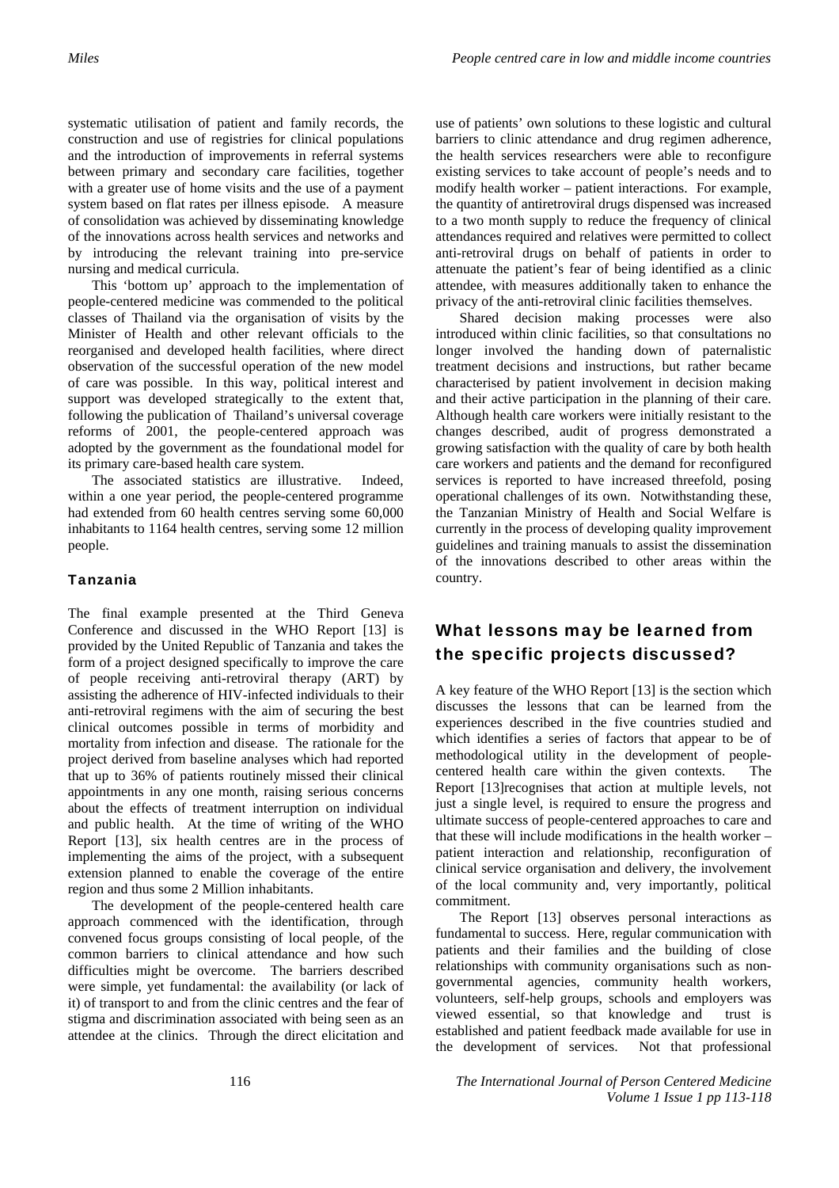systematic utilisation of patient and family records, the construction and use of registries for clinical populations and the introduction of improvements in referral systems between primary and secondary care facilities, together with a greater use of home visits and the use of a payment system based on flat rates per illness episode. A measure of consolidation was achieved by disseminating knowledge of the innovations across health services and networks and by introducing the relevant training into pre-service nursing and medical curricula.

This 'bottom up' approach to the implementation of people-centered medicine was commended to the political classes of Thailand via the organisation of visits by the Minister of Health and other relevant officials to the reorganised and developed health facilities, where direct observation of the successful operation of the new model of care was possible. In this way, political interest and support was developed strategically to the extent that, following the publication of Thailand's universal coverage reforms of 2001, the people-centered approach was adopted by the government as the foundational model for its primary care-based health care system.

The associated statistics are illustrative. Indeed, within a one year period, the people-centered programme had extended from 60 health centres serving some 60,000 inhabitants to 1164 health centres, serving some 12 million people.

#### Tanzania

The final example presented at the Third Geneva Conference and discussed in the WHO Report [13] is provided by the United Republic of Tanzania and takes the form of a project designed specifically to improve the care of people receiving anti-retroviral therapy (ART) by assisting the adherence of HIV-infected individuals to their anti-retroviral regimens with the aim of securing the best clinical outcomes possible in terms of morbidity and mortality from infection and disease. The rationale for the project derived from baseline analyses which had reported that up to 36% of patients routinely missed their clinical appointments in any one month, raising serious concerns about the effects of treatment interruption on individual and public health. At the time of writing of the WHO Report [13], six health centres are in the process of implementing the aims of the project, with a subsequent extension planned to enable the coverage of the entire region and thus some 2 Million inhabitants.

The development of the people-centered health care approach commenced with the identification, through convened focus groups consisting of local people, of the common barriers to clinical attendance and how such difficulties might be overcome. The barriers described were simple, yet fundamental: the availability (or lack of it) of transport to and from the clinic centres and the fear of stigma and discrimination associated with being seen as an attendee at the clinics. Through the direct elicitation and

use of patients' own solutions to these logistic and cultural barriers to clinic attendance and drug regimen adherence, the health services researchers were able to reconfigure existing services to take account of people's needs and to modify health worker – patient interactions. For example, the quantity of antiretroviral drugs dispensed was increased to a two month supply to reduce the frequency of clinical attendances required and relatives were permitted to collect anti-retroviral drugs on behalf of patients in order to attenuate the patient's fear of being identified as a clinic attendee, with measures additionally taken to enhance the privacy of the anti-retroviral clinic facilities themselves.

Shared decision making processes were also introduced within clinic facilities, so that consultations no longer involved the handing down of paternalistic treatment decisions and instructions, but rather became characterised by patient involvement in decision making and their active participation in the planning of their care. Although health care workers were initially resistant to the changes described, audit of progress demonstrated a growing satisfaction with the quality of care by both health care workers and patients and the demand for reconfigured services is reported to have increased threefold, posing operational challenges of its own. Notwithstanding these, the Tanzanian Ministry of Health and Social Welfare is currently in the process of developing quality improvement guidelines and training manuals to assist the dissemination of the innovations described to other areas within the country.

## What lessons may be learned from the specific projects discussed?

A key feature of the WHO Report [13] is the section which discusses the lessons that can be learned from the experiences described in the five countries studied and which identifies a series of factors that appear to be of methodological utility in the development of peoplecentered health care within the given contexts. The Report [13]recognises that action at multiple levels, not just a single level, is required to ensure the progress and ultimate success of people-centered approaches to care and that these will include modifications in the health worker – patient interaction and relationship, reconfiguration of clinical service organisation and delivery, the involvement of the local community and, very importantly, political commitment.

The Report [13] observes personal interactions as fundamental to success. Here, regular communication with patients and their families and the building of close relationships with community organisations such as nongovernmental agencies, community health workers, volunteers, self-help groups, schools and employers was viewed essential, so that knowledge and trust is established and patient feedback made available for use in the development of services. Not that professional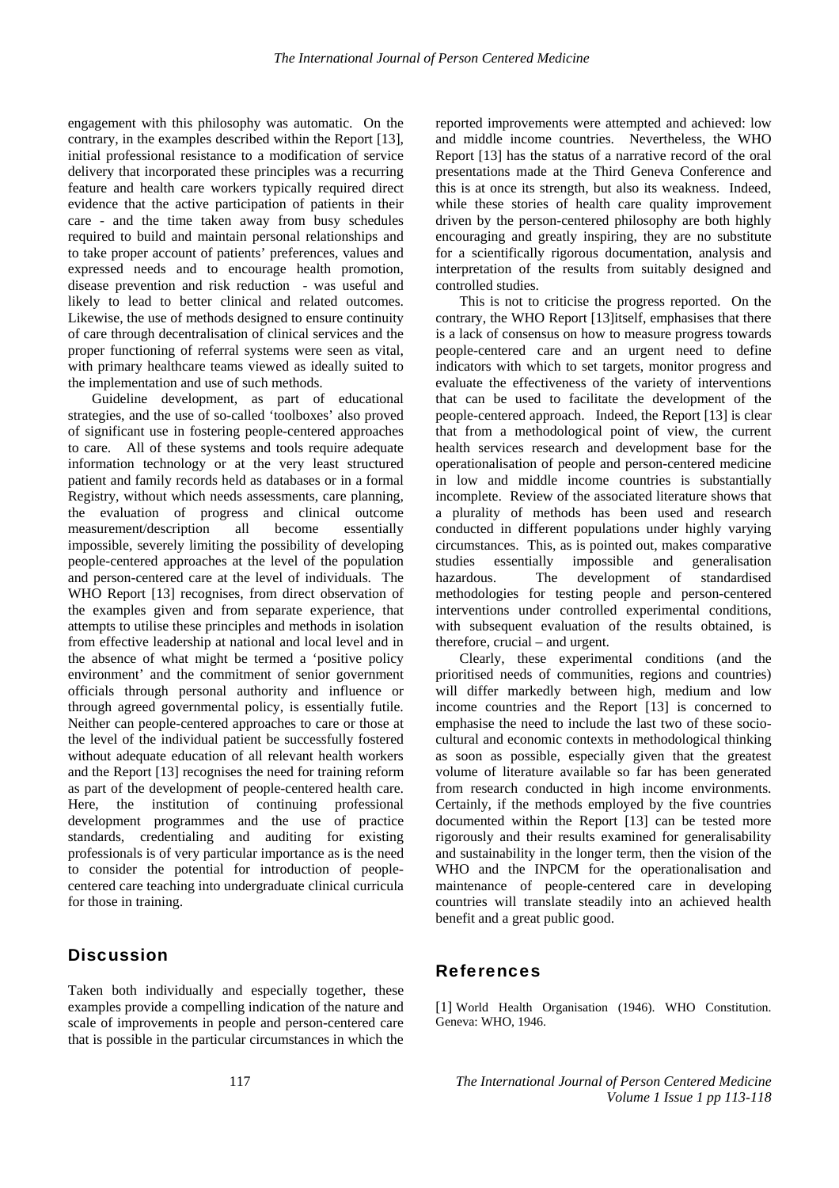engagement with this philosophy was automatic. On the contrary, in the examples described within the Report [13], initial professional resistance to a modification of service delivery that incorporated these principles was a recurring feature and health care workers typically required direct evidence that the active participation of patients in their care - and the time taken away from busy schedules required to build and maintain personal relationships and to take proper account of patients' preferences, values and expressed needs and to encourage health promotion, disease prevention and risk reduction - was useful and likely to lead to better clinical and related outcomes. Likewise, the use of methods designed to ensure continuity of care through decentralisation of clinical services and the proper functioning of referral systems were seen as vital, with primary healthcare teams viewed as ideally suited to the implementation and use of such methods.

Guideline development, as part of educational strategies, and the use of so-called 'toolboxes' also proved of significant use in fostering people-centered approaches to care. All of these systems and tools require adequate information technology or at the very least structured patient and family records held as databases or in a formal Registry, without which needs assessments, care planning, the evaluation of progress and clinical outcome measurement/description all become essentially impossible, severely limiting the possibility of developing people-centered approaches at the level of the population and person-centered care at the level of individuals. The WHO Report [13] recognises, from direct observation of the examples given and from separate experience, that attempts to utilise these principles and methods in isolation from effective leadership at national and local level and in the absence of what might be termed a 'positive policy environment' and the commitment of senior government officials through personal authority and influence or through agreed governmental policy, is essentially futile. Neither can people-centered approaches to care or those at the level of the individual patient be successfully fostered without adequate education of all relevant health workers and the Report [13] recognises the need for training reform as part of the development of people-centered health care. Here, the institution of continuing professional development programmes and the use of practice standards, credentialing and auditing for existing professionals is of very particular importance as is the need to consider the potential for introduction of peoplecentered care teaching into undergraduate clinical curricula for those in training.

### **Discussion**

Taken both individually and especially together, these examples provide a compelling indication of the nature and scale of improvements in people and person-centered care that is possible in the particular circumstances in which the

reported improvements were attempted and achieved: low and middle income countries. Nevertheless, the WHO Report [13] has the status of a narrative record of the oral presentations made at the Third Geneva Conference and this is at once its strength, but also its weakness. Indeed, while these stories of health care quality improvement driven by the person-centered philosophy are both highly encouraging and greatly inspiring, they are no substitute for a scientifically rigorous documentation, analysis and interpretation of the results from suitably designed and controlled studies.

This is not to criticise the progress reported. On the contrary, the WHO Report [13]itself, emphasises that there is a lack of consensus on how to measure progress towards people-centered care and an urgent need to define indicators with which to set targets, monitor progress and evaluate the effectiveness of the variety of interventions that can be used to facilitate the development of the people-centered approach. Indeed, the Report [13] is clear that from a methodological point of view, the current health services research and development base for the operationalisation of people and person-centered medicine in low and middle income countries is substantially incomplete. Review of the associated literature shows that a plurality of methods has been used and research conducted in different populations under highly varying circumstances. This, as is pointed out, makes comparative studies essentially impossible and generalisation hazardous. The development of standardised methodologies for testing people and person-centered interventions under controlled experimental conditions, with subsequent evaluation of the results obtained, is therefore, crucial – and urgent.

Clearly, these experimental conditions (and the prioritised needs of communities, regions and countries) will differ markedly between high, medium and low income countries and the Report [13] is concerned to emphasise the need to include the last two of these sociocultural and economic contexts in methodological thinking as soon as possible, especially given that the greatest volume of literature available so far has been generated from research conducted in high income environments. Certainly, if the methods employed by the five countries documented within the Report [13] can be tested more rigorously and their results examined for generalisability and sustainability in the longer term, then the vision of the WHO and the INPCM for the operationalisation and maintenance of people-centered care in developing countries will translate steadily into an achieved health benefit and a great public good.

#### References

[1] World Health Organisation (1946). WHO Constitution. Geneva: WHO, 1946.